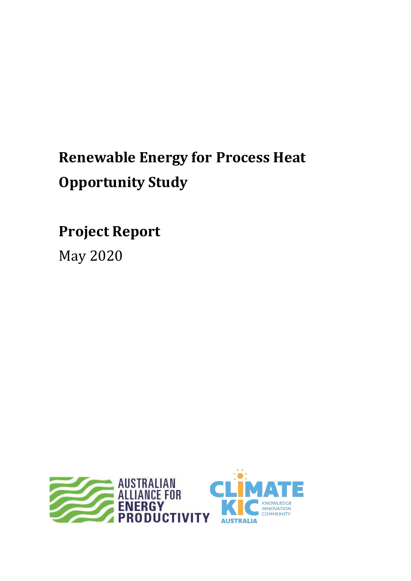# **Renewable Energy for Process Heat Opportunity Study**

**Project Report**

May 2020

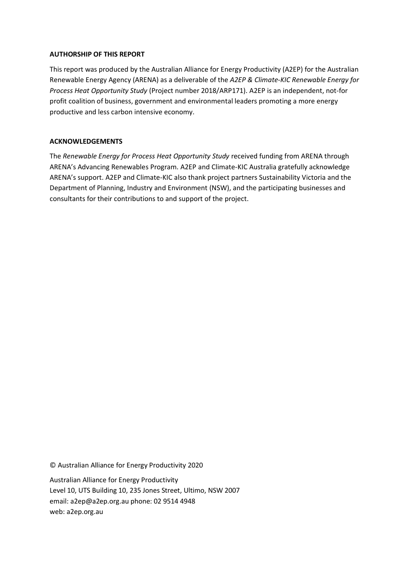### **AUTHORSHIP OF THIS REPORT**

This report was produced by the Australian Alliance for Energy Productivity (A2EP) for the Australian Renewable Energy Agency (ARENA) as a deliverable of the *A2EP & Climate-KIC Renewable Energy for Process Heat Opportunity Study* (Project number 2018/ARP171). A2EP is an independent, not-for profit coalition of business, government and environmental leaders promoting a more energy productive and less carbon intensive economy.

### **ACKNOWLEDGEMENTS**

The *Renewable Energy for Process Heat Opportunity Study* received funding from ARENA through ARENA's Advancing Renewables Program. A2EP and Climate-KIC Australia gratefully acknowledge ARENA's support. A2EP and Climate-KIC also thank project partners Sustainability Victoria and the Department of Planning, Industry and Environment (NSW), and the participating businesses and consultants for their contributions to and support of the project.

© Australian Alliance for Energy Productivity 2020

Australian Alliance for Energy Productivity Level 10, UTS Building 10, 235 Jones Street, Ultimo, NSW 2007 email: [a2ep@a2ep.org.au](mailto:info@a2ep.org.au) phone: 02 9514 4948 web: [a2ep.org.au](http://www.a2ep.org.au/)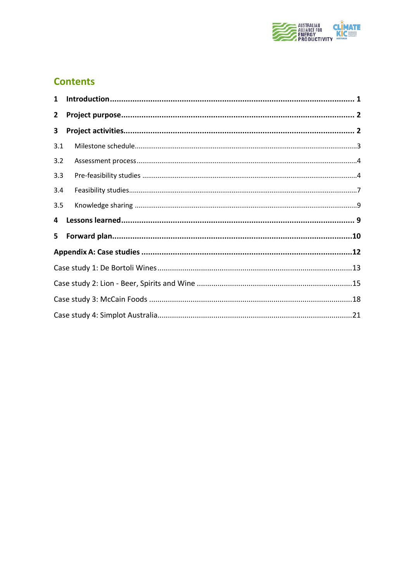

## **Contents**

| $\mathbf{1}$ |  |
|--------------|--|
| $\mathbf{2}$ |  |
| 3            |  |
| 3.1          |  |
| 3.2          |  |
| 3.3          |  |
| 3.4          |  |
| 3.5          |  |
| 4            |  |
| 5.           |  |
|              |  |
|              |  |
|              |  |
|              |  |
|              |  |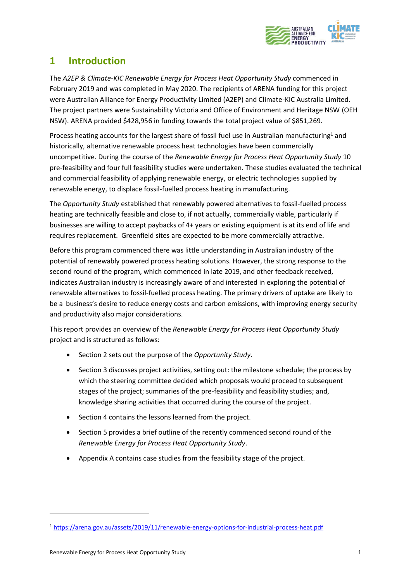

## <span id="page-3-0"></span>**1 Introduction**

The *A2EP & Climate-KIC Renewable Energy for Process Heat Opportunity Study* commenced in February 2019 and was completed in May 2020. The recipients of ARENA funding for this project were Australian Alliance for Energy Productivity Limited (A2EP) and Climate-KIC Australia Limited. The project partners were Sustainability Victoria and Office of Environment and Heritage NSW (OEH NSW). ARENA provided \$428,956 in funding towards the total project value of \$851,269.

Process heating accounts for the largest share of fossil fuel use in Australian manufacturing<sup>1</sup> and historically, alternative renewable process heat technologies have been commercially uncompetitive. During the course of the *Renewable Energy for Process Heat Opportunity Study* 10 pre-feasibility and four full feasibility studies were undertaken. These studies evaluated the technical and commercial feasibility of applying renewable energy, or electric technologies supplied by renewable energy, to displace fossil-fuelled process heating in manufacturing.

The *Opportunity Study* established that renewably powered alternatives to fossil-fuelled process heating are technically feasible and close to, if not actually, commercially viable, particularly if businesses are willing to accept paybacks of 4+ years or existing equipment is at its end of life and requires replacement. Greenfield sites are expected to be more commercially attractive.

Before this program commenced there was little understanding in Australian industry of the potential of renewably powered process heating solutions. However, the strong response to the second round of the program, which commenced in late 2019, and other feedback received, indicates Australian industry is increasingly aware of and interested in exploring the potential of renewable alternatives to fossil-fuelled process heating. The primary drivers of uptake are likely to be a business's desire to reduce energy costs and carbon emissions, with improving energy security and productivity also major considerations.

This report provides an overview of the *Renewable Energy for Process Heat Opportunity Study* project and is structured as follows:

- Section 2 sets out the purpose of the *Opportunity Study*.
- Section 3 discusses project activities, setting out: the milestone schedule; the process by which the steering committee decided which proposals would proceed to subsequent stages of the project; summaries of the pre-feasibility and feasibility studies; and, knowledge sharing activities that occurred during the course of the project.
- Section 4 contains the lessons learned from the project.
- Section 5 provides a brief outline of the recently commenced second round of the *Renewable Energy for Process Heat Opportunity Study*.
- Appendix A contains case studies from the feasibility stage of the project.

<sup>1</sup> <https://arena.gov.au/assets/2019/11/renewable-energy-options-for-industrial-process-heat.pdf>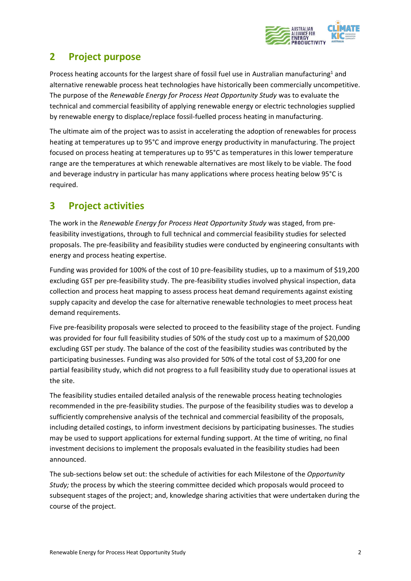

## <span id="page-4-0"></span>**2 Project purpose**

Process heating accounts for the largest share of fossil fuel use in Australian manufacturing<sup>1</sup> and alternative renewable process heat technologies have historically been commercially uncompetitive. The purpose of the *Renewable Energy for Process Heat Opportunity Study* was to evaluate the technical and commercial feasibility of applying renewable energy or electric technologies supplied by renewable energy to displace/replace fossil-fuelled process heating in manufacturing.

The ultimate aim of the project was to assist in accelerating the adoption of renewables for process heating at temperatures up to 95°C and improve energy productivity in manufacturing. The project focused on process heating at temperatures up to 95°C as temperatures in this lower temperature range are the temperatures at which renewable alternatives are most likely to be viable. The food and beverage industry in particular has many applications where process heating below 95°C is required.

## <span id="page-4-1"></span>**3 Project activities**

The work in the *Renewable Energy for Process Heat Opportunity Study* was staged, from prefeasibility investigations, through to full technical and commercial feasibility studies for selected proposals. The pre-feasibility and feasibility studies were conducted by engineering consultants with energy and process heating expertise.

Funding was provided for 100% of the cost of 10 pre-feasibility studies, up to a maximum of \$19,200 excluding GST per pre-feasibility study. The pre-feasibility studies involved physical inspection, data collection and process heat mapping to assess process heat demand requirements against existing supply capacity and develop the case for alternative renewable technologies to meet process heat demand requirements.

Five pre-feasibility proposals were selected to proceed to the feasibility stage of the project. Funding was provided for four full feasibility studies of 50% of the study cost up to a maximum of \$20,000 excluding GST per study. The balance of the cost of the feasibility studies was contributed by the participating businesses. Funding was also provided for 50% of the total cost of \$3,200 for one partial feasibility study, which did not progress to a full feasibility study due to operational issues at the site.

The feasibility studies entailed detailed analysis of the renewable process heating technologies recommended in the pre-feasibility studies. The purpose of the feasibility studies was to develop a sufficiently comprehensive analysis of the technical and commercial feasibility of the proposals, including detailed costings, to inform investment decisions by participating businesses. The studies may be used to support applications for external funding support. At the time of writing, no final investment decisions to implement the proposals evaluated in the feasibility studies had been announced.

The sub-sections below set out: the schedule of activities for each Milestone of the *Opportunity Study;* the process by which the steering committee decided which proposals would proceed to subsequent stages of the project; and, knowledge sharing activities that were undertaken during the course of the project.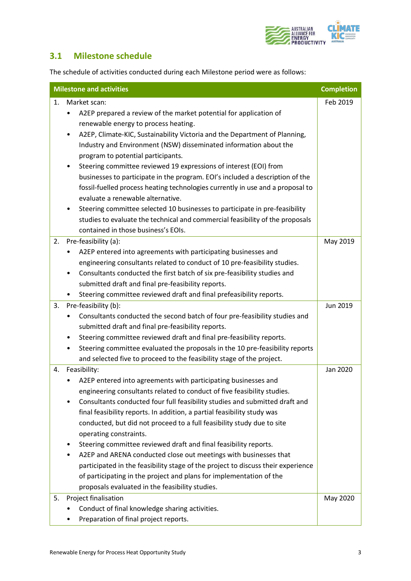

### <span id="page-5-0"></span>**3.1 Milestone schedule**

The schedule of activities conducted during each Milestone period were as follows:

|    | <b>Milestone and activities</b>                                                          | <b>Completion</b> |
|----|------------------------------------------------------------------------------------------|-------------------|
| 1. | Market scan:                                                                             | Feb 2019          |
|    | A2EP prepared a review of the market potential for application of                        |                   |
|    | renewable energy to process heating.                                                     |                   |
|    | A2EP, Climate-KIC, Sustainability Victoria and the Department of Planning,<br>٠          |                   |
|    | Industry and Environment (NSW) disseminated information about the                        |                   |
|    | program to potential participants.                                                       |                   |
|    | Steering committee reviewed 19 expressions of interest (EOI) from<br>$\bullet$           |                   |
|    | businesses to participate in the program. EOI's included a description of the            |                   |
|    | fossil-fuelled process heating technologies currently in use and a proposal to           |                   |
|    | evaluate a renewable alternative.                                                        |                   |
|    | Steering committee selected 10 businesses to participate in pre-feasibility<br>$\bullet$ |                   |
|    | studies to evaluate the technical and commercial feasibility of the proposals            |                   |
|    | contained in those business's EOIs.                                                      |                   |
| 2. | Pre-feasibility (a):                                                                     | May 2019          |
|    | A2EP entered into agreements with participating businesses and                           |                   |
|    | engineering consultants related to conduct of 10 pre-feasibility studies.                |                   |
|    | Consultants conducted the first batch of six pre-feasibility studies and<br>$\bullet$    |                   |
|    | submitted draft and final pre-feasibility reports.                                       |                   |
|    | Steering committee reviewed draft and final prefeasibility reports.                      |                   |
| 3. | Pre-feasibility (b):                                                                     | Jun 2019          |
|    | Consultants conducted the second batch of four pre-feasibility studies and               |                   |
|    | submitted draft and final pre-feasibility reports.                                       |                   |
|    | Steering committee reviewed draft and final pre-feasibility reports.                     |                   |
|    | Steering committee evaluated the proposals in the 10 pre-feasibility reports<br>٠        |                   |
|    | and selected five to proceed to the feasibility stage of the project.                    |                   |
| 4. | Feasibility:                                                                             | Jan 2020          |
|    | A2EP entered into agreements with participating businesses and                           |                   |
|    | engineering consultants related to conduct of five feasibility studies.                  |                   |
|    | Consultants conducted four full feasibility studies and submitted draft and              |                   |
|    | final feasibility reports. In addition, a partial feasibility study was                  |                   |
|    | conducted, but did not proceed to a full feasibility study due to site                   |                   |
|    | operating constraints.                                                                   |                   |
|    | Steering committee reviewed draft and final feasibility reports.                         |                   |
|    | A2EP and ARENA conducted close out meetings with businesses that                         |                   |
|    | participated in the feasibility stage of the project to discuss their experience         |                   |
|    | of participating in the project and plans for implementation of the                      |                   |
|    | proposals evaluated in the feasibility studies.                                          |                   |
| 5. | Project finalisation                                                                     | May 2020          |
|    | Conduct of final knowledge sharing activities.                                           |                   |
|    | Preparation of final project reports.                                                    |                   |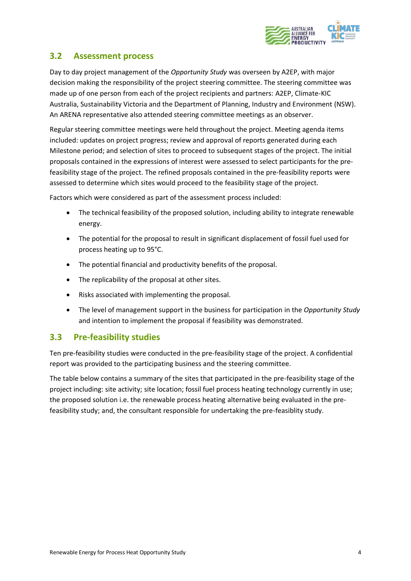

### <span id="page-6-0"></span>**3.2 Assessment process**

Day to day project management of the *Opportunity Study* was overseen by A2EP, with major decision making the responsibility of the project steering committee. The steering committee was made up of one person from each of the project recipients and partners: A2EP, Climate-KIC Australia, Sustainability Victoria and the Department of Planning, Industry and Environment (NSW). An ARENA representative also attended steering committee meetings as an observer.

Regular steering committee meetings were held throughout the project. Meeting agenda items included: updates on project progress; review and approval of reports generated during each Milestone period; and selection of sites to proceed to subsequent stages of the project. The initial proposals contained in the expressions of interest were assessed to select participants for the prefeasibility stage of the project. The refined proposals contained in the pre-feasibility reports were assessed to determine which sites would proceed to the feasibility stage of the project.

Factors which were considered as part of the assessment process included:

- The technical feasibility of the proposed solution, including ability to integrate renewable energy.
- The potential for the proposal to result in significant displacement of fossil fuel used for process heating up to 95°C.
- The potential financial and productivity benefits of the proposal.
- The replicability of the proposal at other sites.
- Risks associated with implementing the proposal.
- The level of management support in the business for participation in the *Opportunity Study* and intention to implement the proposal if feasibility was demonstrated.

### <span id="page-6-1"></span>**3.3 Pre-feasibility studies**

Ten pre-feasibility studies were conducted in the pre-feasibility stage of the project. A confidential report was provided to the participating business and the steering committee.

The table below contains a summary of the sites that participated in the pre-feasibility stage of the project including: site activity; site location; fossil fuel process heating technology currently in use; the proposed solution i.e. the renewable process heating alternative being evaluated in the prefeasibility study; and, the consultant responsible for undertaking the pre-feasiblity study.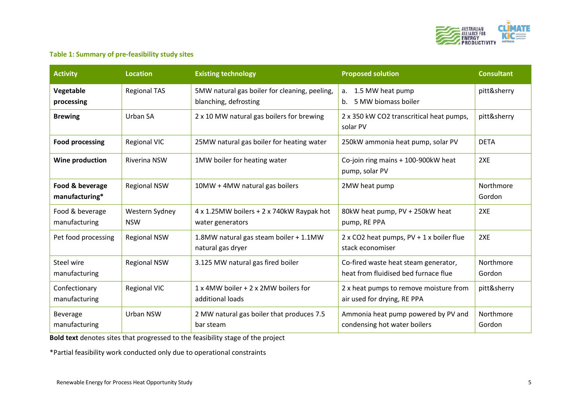

### **Table 1: Summary of pre-feasibility study sites**

| <b>Activity</b><br><b>Existing technology</b><br><b>Location</b>                         |                                                                                                                                                | <b>Proposed solution</b>                                      | <b>Consultant</b>                                                            |                     |
|------------------------------------------------------------------------------------------|------------------------------------------------------------------------------------------------------------------------------------------------|---------------------------------------------------------------|------------------------------------------------------------------------------|---------------------|
| Vegetable<br>processing                                                                  | <b>Regional TAS</b><br>5MW natural gas boiler for cleaning, peeling,<br>a. 1.5 MW heat pump<br>b. 5 MW biomass boiler<br>blanching, defrosting |                                                               |                                                                              | pitt&sherry         |
| <b>Brewing</b>                                                                           | Urban SA<br>2 x 10 MW natural gas boilers for brewing<br>solar PV                                                                              |                                                               | 2 x 350 kW CO2 transcritical heat pumps,                                     | pitt&sherry         |
| <b>Food processing</b>                                                                   | <b>Regional VIC</b>                                                                                                                            | 25MW natural gas boiler for heating water                     | 250kW ammonia heat pump, solar PV                                            | <b>DETA</b>         |
| 1MW boiler for heating water<br>Wine production<br><b>Riverina NSW</b><br>pump, solar PV |                                                                                                                                                | Co-join ring mains + 100-900kW heat                           | 2XE                                                                          |                     |
| Food & beverage<br>manufacturing*                                                        | <b>Regional NSW</b>                                                                                                                            | 10MW + 4MW natural gas boilers                                | 2MW heat pump                                                                | Northmore<br>Gordon |
| Food & beverage<br>manufacturing                                                         | Western Sydney<br><b>NSW</b>                                                                                                                   | 4 x 1.25MW boilers + 2 x 740kW Raypak hot<br>water generators | 80kW heat pump, PV + 250kW heat<br>pump, RE PPA                              | 2XE                 |
| Pet food processing                                                                      | <b>Regional NSW</b>                                                                                                                            | 1.8MW natural gas steam boiler + 1.1MW<br>natural gas dryer   | $2 \times CO2$ heat pumps, $PV + 1 \times$ boiler flue<br>stack economiser   | 2XE                 |
| Steel wire<br>manufacturing                                                              | <b>Regional NSW</b>                                                                                                                            | 3.125 MW natural gas fired boiler                             | Co-fired waste heat steam generator,<br>heat from fluidised bed furnace flue | Northmore<br>Gordon |
| Confectionary<br>manufacturing                                                           | <b>Regional VIC</b>                                                                                                                            | 1 x 4MW boiler + 2 x 2MW boilers for<br>additional loads      | 2 x heat pumps to remove moisture from<br>air used for drying, RE PPA        | pitt&sherry         |
| Beverage<br>manufacturing                                                                | Urban NSW                                                                                                                                      | 2 MW natural gas boiler that produces 7.5<br>bar steam        | Ammonia heat pump powered by PV and<br>condensing hot water boilers          | Northmore<br>Gordon |

**Bold text** denotes sites that progressed to the feasibility stage of the project

\*Partial feasibility work conducted only due to operational constraints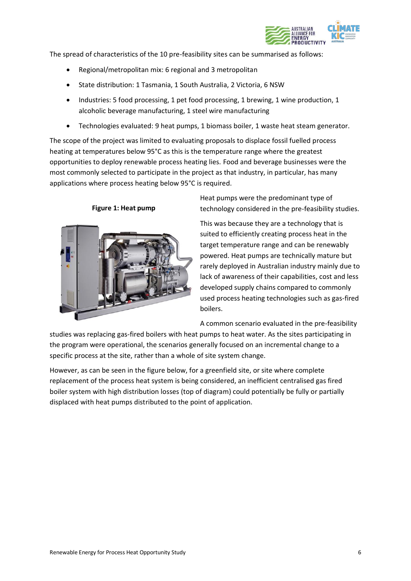

The spread of characteristics of the 10 pre-feasibility sites can be summarised as follows:

- Regional/metropolitan mix: 6 regional and 3 metropolitan
- State distribution: 1 Tasmania, 1 South Australia, 2 Victoria, 6 NSW
- Industries: 5 food processing, 1 pet food processing, 1 brewing, 1 wine production, 1 alcoholic beverage manufacturing, 1 steel wire manufacturing
- Technologies evaluated: 9 heat pumps, 1 biomass boiler, 1 waste heat steam generator.

The scope of the project was limited to evaluating proposals to displace fossil fuelled process heating at temperatures below 95°C as this is the temperature range where the greatest opportunities to deploy renewable process heating lies. Food and beverage businesses were the most commonly selected to participate in the project as that industry, in particular, has many applications where process heating below 95°C is required.



**Figure 1: Heat pump**

Heat pumps were the predominant type of technology considered in the pre-feasibility studies.

This was because they are a technology that is suited to efficiently creating process heat in the target temperature range and can be renewably powered. Heat pumps are technically mature but rarely deployed in Australian industry mainly due to lack of awareness of their capabilities, cost and less developed supply chains compared to commonly used process heating technologies such as gas-fired boilers.

A common scenario evaluated in the pre-feasibility

studies was replacing gas-fired boilers with heat pumps to heat water. As the sites participating in the program were operational, the scenarios generally focused on an incremental change to a specific process at the site, rather than a whole of site system change.

However, as can be seen in the figure below, for a greenfield site, or site where complete replacement of the process heat system is being considered, an inefficient centralised gas fired boiler system with high distribution losses (top of diagram) could potentially be fully or partially displaced with heat pumps distributed to the point of application.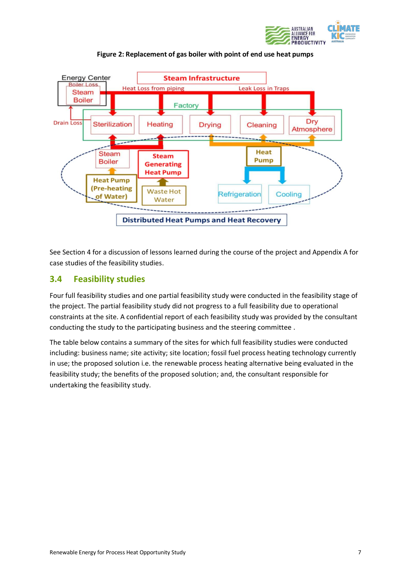



**Figure 2: Replacement of gas boiler with point of end use heat pumps**

See Section 4 for a discussion of lessons learned during the course of the project and Appendix A for case studies of the feasibility studies.

### <span id="page-9-0"></span>**3.4 Feasibility studies**

Four full feasibility studies and one partial feasibility study were conducted in the feasibility stage of the project. The partial feasibility study did not progress to a full feasibility due to operational constraints at the site. A confidential report of each feasibility study was provided by the consultant conducting the study to the participating business and the steering committee .

The table below contains a summary of the sites for which full feasibility studies were conducted including: business name; site activity; site location; fossil fuel process heating technology currently in use; the proposed solution i.e. the renewable process heating alternative being evaluated in the feasibility study; the benefits of the proposed solution; and, the consultant responsible for undertaking the feasibility study.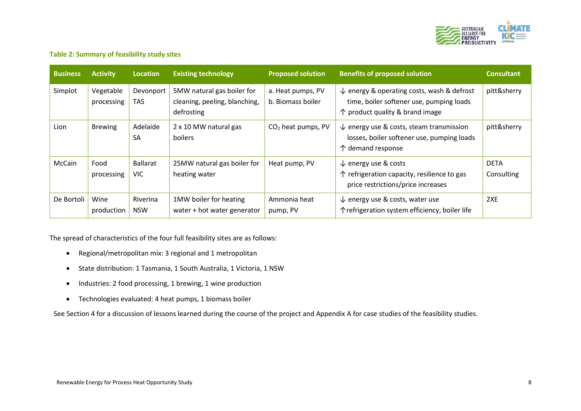

### **Table 2: Summary of feasibility study sites**

| <b>Business</b> | <b>Activity</b>         | <b>Location</b>         | <b>Existing technology</b>                                                | <b>Proposed solution</b>               | <b>Benefits of proposed solution</b>                                                                                                          | <b>Consultant</b>         |
|-----------------|-------------------------|-------------------------|---------------------------------------------------------------------------|----------------------------------------|-----------------------------------------------------------------------------------------------------------------------------------------------|---------------------------|
| Simplot         | Vegetable<br>processing | Devonport<br><b>TAS</b> | 5MW natural gas boiler for<br>cleaning, peeling, blanching,<br>defrosting | a. Heat pumps, PV<br>b. Biomass boiler | $\downarrow$ energy & operating costs, wash & defrost<br>time, boiler softener use, pumping loads<br>$\uparrow$ product quality & brand image | pitt&sherry               |
| Lion            | <b>Brewing</b>          | Adelaide<br><b>SA</b>   | 2 x 10 MW natural gas<br>boilers                                          | $CO2$ heat pumps, PV                   | $\downarrow$ energy use & costs, steam transmission<br>losses, boiler softener use, pumping loads<br>$\uparrow$ demand response               | pitt&sherry               |
| McCain          | Food<br>processing      | Ballarat<br>VIC.        | 25MW natural gas boiler for<br>heating water                              | Heat pump, PV                          | $\downarrow$ energy use & costs<br>↑ refrigeration capacity, resilience to gas<br>price restrictions/price increases                          | <b>DETA</b><br>Consulting |
| De Bortoli      | Wine<br>production      | Riverina<br><b>NSW</b>  | 1MW boiler for heating<br>water + hot water generator                     | Ammonia heat<br>pump, PV               | $\downarrow$ energy use & costs, water use<br>↑ refrigeration system efficiency, boiler life                                                  | 2XE                       |

The spread of characteristics of the four full feasibility sites are as follows:

- Regional/metropolitan mix: 3 regional and 1 metropolitan
- State distribution: 1 Tasmania, 1 South Australia, 1 Victoria, 1 NSW
- Industries: 2 food processing, 1 brewing, 1 wine production
- Technologies evaluated: 4 heat pumps, 1 biomass boiler

See Section 4 for a discussion of lessons learned during the course of the project and Appendix A for case studies of the feasibility studies.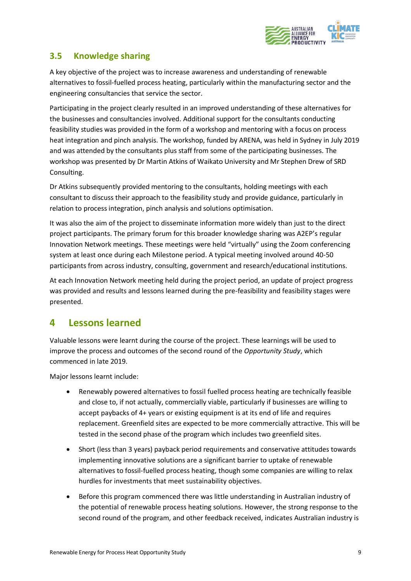

### <span id="page-11-0"></span>**3.5 Knowledge sharing**

A key objective of the project was to increase awareness and understanding of renewable alternatives to fossil-fuelled process heating, particularly within the manufacturing sector and the engineering consultancies that service the sector.

Participating in the project clearly resulted in an improved understanding of these alternatives for the businesses and consultancies involved. Additional support for the consultants conducting feasibility studies was provided in the form of a workshop and mentoring with a focus on process heat integration and pinch analysis. The workshop, funded by ARENA, was held in Sydney in July 2019 and was attended by the consultants plus staff from some of the participating businesses. The workshop was presented by Dr Martin Atkins of Waikato University and Mr Stephen Drew of SRD Consulting.

Dr Atkins subsequently provided mentoring to the consultants, holding meetings with each consultant to discuss their approach to the feasibility study and provide guidance, particularly in relation to process integration, pinch analysis and solutions optimisation.

It was also the aim of the project to disseminate information more widely than just to the direct project participants. The primary forum for this broader knowledge sharing was A2EP's regular Innovation Network meetings. These meetings were held "virtually" using the Zoom conferencing system at least once during each Milestone period. A typical meeting involved around 40-50 participants from across industry, consulting, government and research/educational institutions.

At each Innovation Network meeting held during the project period, an update of project progress was provided and results and lessons learned during the pre-feasibility and feasibility stages were presented.

## <span id="page-11-1"></span>**4 Lessons learned**

Valuable lessons were learnt during the course of the project. These learnings will be used to improve the process and outcomes of the second round of the *Opportunity Study*, which commenced in late 2019.

Major lessons learnt include:

- Renewably powered alternatives to fossil fuelled process heating are technically feasible and close to, if not actually, commercially viable, particularly if businesses are willing to accept paybacks of 4+ years or existing equipment is at its end of life and requires replacement. Greenfield sites are expected to be more commercially attractive. This will be tested in the second phase of the program which includes two greenfield sites.
- Short (less than 3 years) payback period requirements and conservative attitudes towards implementing innovative solutions are a significant barrier to uptake of renewable alternatives to fossil-fuelled process heating, though some companies are willing to relax hurdles for investments that meet sustainability objectives.
- Before this program commenced there was little understanding in Australian industry of the potential of renewable process heating solutions. However, the strong response to the second round of the program, and other feedback received, indicates Australian industry is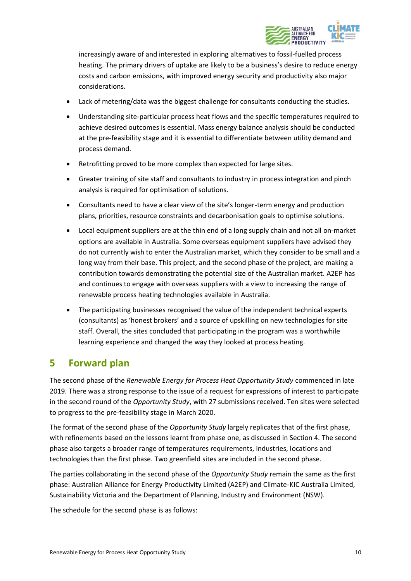

increasingly aware of and interested in exploring alternatives to fossil-fuelled process heating. The primary drivers of uptake are likely to be a business's desire to reduce energy costs and carbon emissions, with improved energy security and productivity also major considerations.

- Lack of metering/data was the biggest challenge for consultants conducting the studies.
- Understanding site-particular process heat flows and the specific temperatures required to achieve desired outcomes is essential. Mass energy balance analysis should be conducted at the pre-feasibility stage and it is essential to differentiate between utility demand and process demand.
- Retrofitting proved to be more complex than expected for large sites.
- Greater training of site staff and consultants to industry in process integration and pinch analysis is required for optimisation of solutions.
- Consultants need to have a clear view of the site's longer-term energy and production plans, priorities, resource constraints and decarbonisation goals to optimise solutions.
- Local equipment suppliers are at the thin end of a long supply chain and not all on-market options are available in Australia. Some overseas equipment suppliers have advised they do not currently wish to enter the Australian market, which they consider to be small and a long way from their base. This project, and the second phase of the project, are making a contribution towards demonstrating the potential size of the Australian market. A2EP has and continues to engage with overseas suppliers with a view to increasing the range of renewable process heating technologies available in Australia.
- The participating businesses recognised the value of the independent technical experts (consultants) as 'honest brokers' and a source of upskilling on new technologies for site staff. Overall, the sites concluded that participating in the program was a worthwhile learning experience and changed the way they looked at process heating.

## <span id="page-12-0"></span>**5 Forward plan**

The second phase of the *Renewable Energy for Process Heat Opportunity Study* commenced in late 2019. There was a strong response to the issue of a request for expressions of interest to participate in the second round of the *Opportunity Study*, with 27 submissions received. Ten sites were selected to progress to the pre-feasibility stage in March 2020.

The format of the second phase of the *Opportunity Study* largely replicates that of the first phase, with refinements based on the lessons learnt from phase one, as discussed in Section 4. The second phase also targets a broader range of temperatures requirements, industries, locations and technologies than the first phase. Two greenfield sites are included in the second phase.

The parties collaborating in the second phase of the *Opportunity Study* remain the same as the first phase: Australian Alliance for Energy Productivity Limited (A2EP) and Climate-KIC Australia Limited, Sustainability Victoria and the Department of Planning, Industry and Environment (NSW).

The schedule for the second phase is as follows: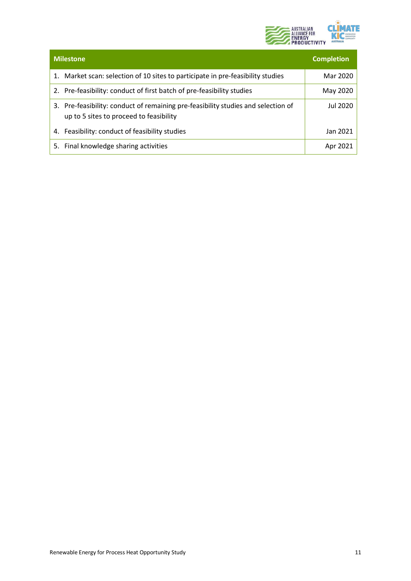

| <b>Milestone</b>                                                                                                             | <b>Completion</b> |
|------------------------------------------------------------------------------------------------------------------------------|-------------------|
| 1. Market scan: selection of 10 sites to participate in pre-feasibility studies                                              | Mar 2020          |
| 2. Pre-feasibility: conduct of first batch of pre-feasibility studies                                                        | May 2020          |
| 3. Pre-feasibility: conduct of remaining pre-feasibility studies and selection of<br>up to 5 sites to proceed to feasibility | Jul 2020          |
| 4. Feasibility: conduct of feasibility studies                                                                               | Jan 2021          |
| Final knowledge sharing activities<br>5.                                                                                     | Apr 2021          |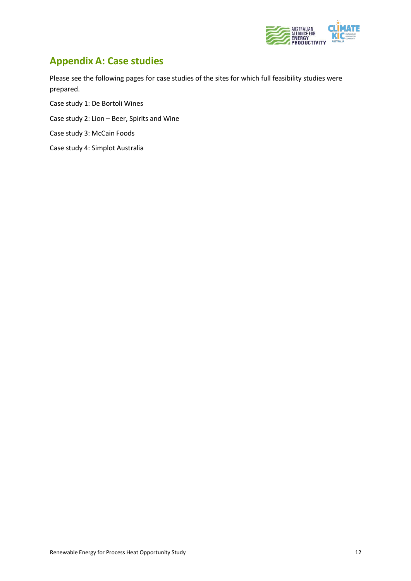

## <span id="page-14-0"></span>**Appendix A: Case studies**

Please see the following pages for case studies of the sites for which full feasibility studies were prepared.

Case study 1: De Bortoli Wines

Case study 2: Lion – Beer, Spirits and Wine

Case study 3: McCain Foods

Case study 4: Simplot Australia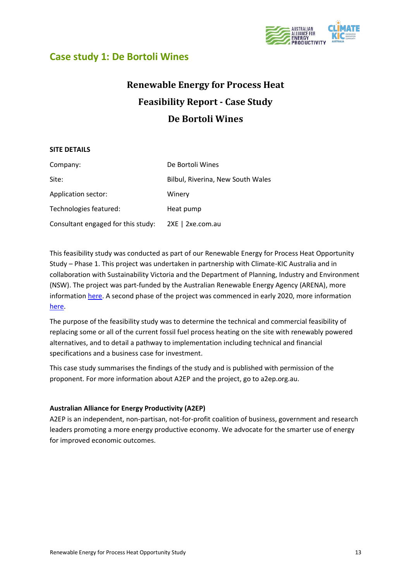

### <span id="page-15-0"></span>**Case study 1: De Bortoli Wines**

## **Renewable Energy for Process Heat Feasibility Report - Case Study De Bortoli Wines**

### **SITE DETAILS**

| Company:                           | De Bortoli Wines                  |
|------------------------------------|-----------------------------------|
| Site:                              | Bilbul, Riverina, New South Wales |
| Application sector:                | Winery                            |
| Technologies featured:             | Heat pump                         |
| Consultant engaged for this study: | 2XE   2xe.com.au                  |

This feasibility study was conducted as part of our Renewable Energy for Process Heat Opportunity Study – Phase 1. This project was undertaken in partnership with Climate-KIC Australia and in collaboration with Sustainability Victoria and the Department of Planning, Industry and Environment (NSW). The project was part-funded by the Australian Renewable Energy Agency (ARENA), more informatio[n here.](https://arena.gov.au/projects/renewable-energy-for-process-heat-opportunity-study/) A second phase of the project was commenced in early 2020, more information [here.](https://arena.gov.au/projects/renewable-energy-for-process-heat-opportunity-study-phase-2/)

The purpose of the feasibility study was to determine the technical and commercial feasibility of replacing some or all of the current fossil fuel process heating on the site with renewably powered alternatives, and to detail a pathway to implementation including technical and financial specifications and a business case for investment.

This case study summarises the findings of the study and is published with permission of the proponent. For more information about A2EP and the project, go to a2ep.org.au.

### **Australian Alliance for Energy Productivity (A2EP)**

A2EP is an independent, non-partisan, not-for-profit coalition of business, government and research leaders promoting a more energy productive economy. We advocate for the smarter use of energy for improved economic outcomes.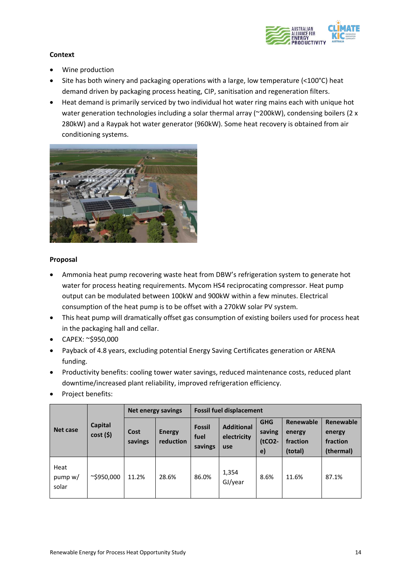

### **Context**

- Wine production
- Site has both winery and packaging operations with a large, low temperature (< $100^{\circ}$ C) heat demand driven by packaging process heating, CIP, sanitisation and regeneration filters.
- Heat demand is primarily serviced by two individual hot water ring mains each with unique hot water generation technologies including a solar thermal array ( $\approx$ 200kW), condensing boilers (2 x 280kW) and a Raypak hot water generator (960kW). Some heat recovery is obtained from air conditioning systems.



### **Proposal**

- Ammonia heat pump recovering waste heat from DBW's refrigeration system to generate hot water for process heating requirements. Mycom HS4 reciprocating compressor. Heat pump output can be modulated between 100kW and 900kW within a few minutes. Electrical consumption of the heat pump is to be offset with a 270kW solar PV system.
- This heat pump will dramatically offset gas consumption of existing boilers used for process heat in the packaging hall and cellar.
- CAPEX: ~\$950,000
- Payback of 4.8 years, excluding potential Energy Saving Certificates generation or ARENA funding.
- Productivity benefits: cooling tower water savings, reduced maintenance costs, reduced plant downtime/increased plant reliability, improved refrigeration efficiency.
- Project benefits:

|                          |                        |                 | Net energy savings         | <b>Fossil fuel displacement</b>  |                                         |                                                   |                                            |                                              |
|--------------------------|------------------------|-----------------|----------------------------|----------------------------------|-----------------------------------------|---------------------------------------------------|--------------------------------------------|----------------------------------------------|
| Net case                 | Capital<br>$cost($ \$) | Cost<br>savings | <b>Energy</b><br>reduction | <b>Fossil</b><br>fuel<br>savings | <b>Additional</b><br>electricity<br>use | <b>GHG</b><br>saving<br>$(tCO2 -$<br>$\mathbf{e}$ | Renewable<br>energy<br>fraction<br>(total) | Renewable<br>energy<br>fraction<br>(thermal) |
| Heat<br>pump w/<br>solar | $\sim$ \$950,000       | 11.2%           | 28.6%                      | 86.0%                            | 1,354<br>GJ/year                        | 8.6%                                              | 11.6%                                      | 87.1%                                        |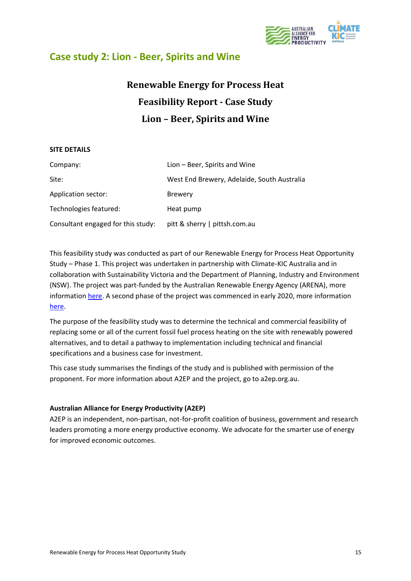

## <span id="page-17-0"></span>**Case study 2: Lion - Beer, Spirits and Wine**

## **Renewable Energy for Process Heat Feasibility Report - Case Study Lion – Beer, Spirits and Wine**

### **SITE DETAILS**

| Company:                           | Lion – Beer, Spirits and Wine               |
|------------------------------------|---------------------------------------------|
| Site:                              | West End Brewery, Adelaide, South Australia |
| Application sector:                | <b>Brewery</b>                              |
| Technologies featured:             | Heat pump                                   |
| Consultant engaged for this study: | pitt & sherry   pittsh.com.au               |

This feasibility study was conducted as part of our Renewable Energy for Process Heat Opportunity Study – Phase 1. This project was undertaken in partnership with Climate-KIC Australia and in collaboration with Sustainability Victoria and the Department of Planning, Industry and Environment (NSW). The project was part-funded by the Australian Renewable Energy Agency (ARENA), more informatio[n here.](https://arena.gov.au/projects/renewable-energy-for-process-heat-opportunity-study/) A second phase of the project was commenced in early 2020, more information [here.](https://arena.gov.au/projects/renewable-energy-for-process-heat-opportunity-study-phase-2/)

The purpose of the feasibility study was to determine the technical and commercial feasibility of replacing some or all of the current fossil fuel process heating on the site with renewably powered alternatives, and to detail a pathway to implementation including technical and financial specifications and a business case for investment.

This case study summarises the findings of the study and is published with permission of the proponent. For more information about A2EP and the project, go to a2ep.org.au.

### **Australian Alliance for Energy Productivity (A2EP)**

A2EP is an independent, non-partisan, not-for-profit coalition of business, government and research leaders promoting a more energy productive economy. We advocate for the smarter use of energy for improved economic outcomes.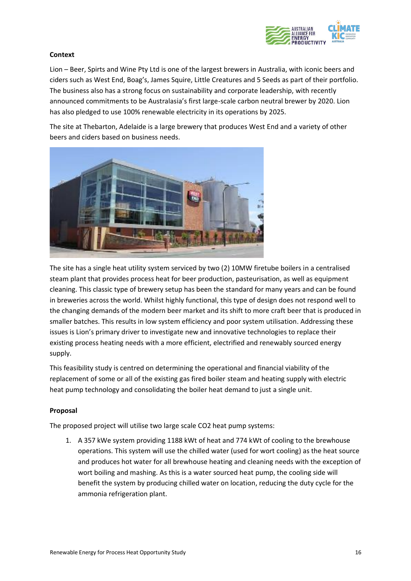

### **Context**

Lion – Beer, Spirts and Wine Pty Ltd is one of the largest brewers in Australia, with iconic beers and ciders such as West End, Boag's, James Squire, Little Creatures and 5 Seeds as part of their portfolio. The business also has a strong focus on sustainability and corporate leadership, with recently announced commitments to be Australasia's first large-scale carbon neutral brewer by 2020. Lion has also pledged to use 100% renewable electricity in its operations by 2025.

The site at Thebarton, Adelaide is a large brewery that produces West End and a variety of other beers and ciders based on business needs.



The site has a single heat utility system serviced by two (2) 10MW firetube boilers in a centralised steam plant that provides process heat for beer production, pasteurisation, as well as equipment cleaning. This classic type of brewery setup has been the standard for many years and can be found in breweries across the world. Whilst highly functional, this type of design does not respond well to the changing demands of the modern beer market and its shift to more craft beer that is produced in smaller batches. This results in low system efficiency and poor system utilisation. Addressing these issues is Lion's primary driver to investigate new and innovative technologies to replace their existing process heating needs with a more efficient, electrified and renewably sourced energy supply.

This feasibility study is centred on determining the operational and financial viability of the replacement of some or all of the existing gas fired boiler steam and heating supply with electric heat pump technology and consolidating the boiler heat demand to just a single unit.

### **Proposal**

The proposed project will utilise two large scale CO2 heat pump systems:

1. A 357 kWe system providing 1188 kWt of heat and 774 kWt of cooling to the brewhouse operations. This system will use the chilled water (used for wort cooling) as the heat source and produces hot water for all brewhouse heating and cleaning needs with the exception of wort boiling and mashing. As this is a water sourced heat pump, the cooling side will benefit the system by producing chilled water on location, reducing the duty cycle for the ammonia refrigeration plant.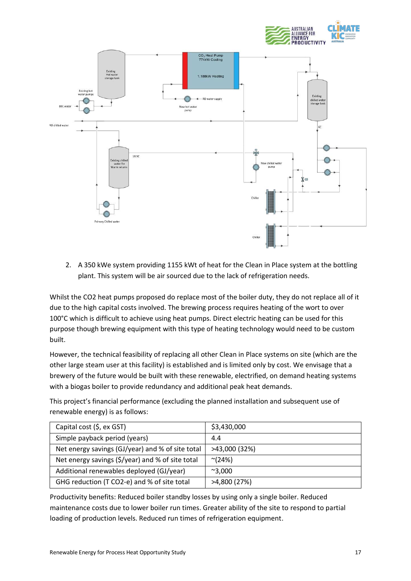



2. A 350 kWe system providing 1155 kWt of heat for the Clean in Place system at the bottling plant. This system will be air sourced due to the lack of refrigeration needs.

Whilst the CO2 heat pumps proposed do replace most of the boiler duty, they do not replace all of it due to the high capital costs involved. The brewing process requires heating of the wort to over 100°C which is difficult to achieve using heat pumps. Direct electric heating can be used for this purpose though brewing equipment with this type of heating technology would need to be custom built.

However, the technical feasibility of replacing all other Clean in Place systems on site (which are the other large steam user at this facility) is established and is limited only by cost. We envisage that a brewery of the future would be built with these renewable, electrified, on demand heating systems with a biogas boiler to provide redundancy and additional peak heat demands.

This project's financial performance (excluding the planned installation and subsequent use of renewable energy) is as follows:

| Capital cost (\$, ex GST)                        | \$3,430,000     |
|--------------------------------------------------|-----------------|
| Simple payback period (years)                    | 4.4             |
| Net energy savings (GJ/year) and % of site total | >43,000 (32%)   |
| Net energy savings (\$/year) and % of site total | $^{\sim}$ (24%) |
| Additional renewables deployed (GJ/year)         | $^{\sim}3,000$  |
| GHG reduction (T CO2-e) and % of site total      | >4,800 (27%)    |

Productivity benefits: Reduced boiler standby losses by using only a single boiler. Reduced maintenance costs due to lower boiler run times. Greater ability of the site to respond to partial loading of production levels. Reduced run times of refrigeration equipment.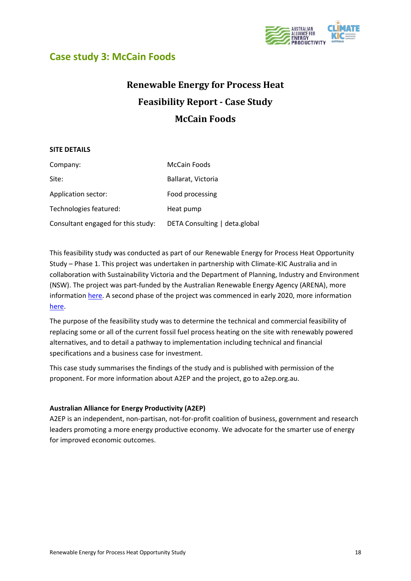

## <span id="page-20-0"></span>**Case study 3: McCain Foods**

## **Renewable Energy for Process Heat Feasibility Report - Case Study McCain Foods**

### **SITE DETAILS**

| Company:                           | <b>McCain Foods</b>           |
|------------------------------------|-------------------------------|
| Site:                              | Ballarat, Victoria            |
| Application sector:                | Food processing               |
| Technologies featured:             | Heat pump                     |
| Consultant engaged for this study: | DETA Consulting   deta.global |

This feasibility study was conducted as part of our Renewable Energy for Process Heat Opportunity Study – Phase 1. This project was undertaken in partnership with Climate-KIC Australia and in collaboration with Sustainability Victoria and the Department of Planning, Industry and Environment (NSW). The project was part-funded by the Australian Renewable Energy Agency (ARENA), more informatio[n here.](https://arena.gov.au/projects/renewable-energy-for-process-heat-opportunity-study/) A second phase of the project was commenced in early 2020, more information [here.](https://arena.gov.au/projects/renewable-energy-for-process-heat-opportunity-study-phase-2/)

The purpose of the feasibility study was to determine the technical and commercial feasibility of replacing some or all of the current fossil fuel process heating on the site with renewably powered alternatives, and to detail a pathway to implementation including technical and financial specifications and a business case for investment.

This case study summarises the findings of the study and is published with permission of the proponent. For more information about A2EP and the project, go to a2ep.org.au.

### **Australian Alliance for Energy Productivity (A2EP)**

A2EP is an independent, non-partisan, not-for-profit coalition of business, government and research leaders promoting a more energy productive economy. We advocate for the smarter use of energy for improved economic outcomes.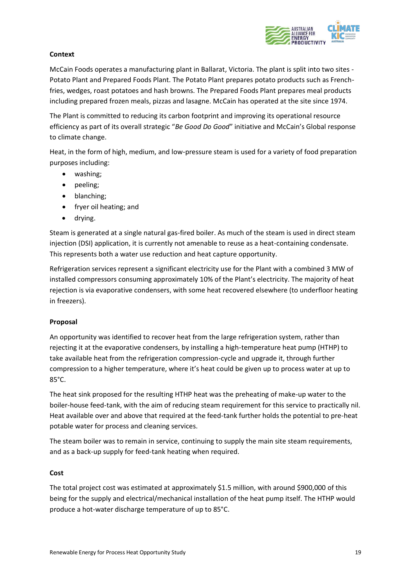

### **Context**

McCain Foods operates a manufacturing plant in Ballarat, Victoria. The plant is split into two sites - Potato Plant and Prepared Foods Plant. The Potato Plant prepares potato products such as Frenchfries, wedges, roast potatoes and hash browns. The Prepared Foods Plant prepares meal products including prepared frozen meals, pizzas and lasagne. McCain has operated at the site since 1974.

The Plant is committed to reducing its carbon footprint and improving its operational resource efficiency as part of its overall strategic "*Be Good Do Good*" initiative and McCain's Global response to climate change.

Heat, in the form of high, medium, and low-pressure steam is used for a variety of food preparation purposes including:

- washing;
- peeling;
- blanching;
- fryer oil heating; and
- drying.

Steam is generated at a single natural gas-fired boiler. As much of the steam is used in direct steam injection (DSI) application, it is currently not amenable to reuse as a heat-containing condensate. This represents both a water use reduction and heat capture opportunity.

Refrigeration services represent a significant electricity use for the Plant with a combined 3 MW of installed compressors consuming approximately 10% of the Plant's electricity. The majority of heat rejection is via evaporative condensers, with some heat recovered elsewhere (to underfloor heating in freezers).

### **Proposal**

An opportunity was identified to recover heat from the large refrigeration system, rather than rejecting it at the evaporative condensers, by installing a high-temperature heat pump (HTHP) to take available heat from the refrigeration compression-cycle and upgrade it, through further compression to a higher temperature, where it's heat could be given up to process water at up to 85°C.

The heat sink proposed for the resulting HTHP heat was the preheating of make-up water to the boiler-house feed-tank, with the aim of reducing steam requirement for this service to practically nil. Heat available over and above that required at the feed-tank further holds the potential to pre-heat potable water for process and cleaning services.

The steam boiler was to remain in service, continuing to supply the main site steam requirements, and as a back-up supply for feed-tank heating when required.

### **Cost**

The total project cost was estimated at approximately \$1.5 million, with around \$900,000 of this being for the supply and electrical/mechanical installation of the heat pump itself. The HTHP would produce a hot-water discharge temperature of up to 85°C.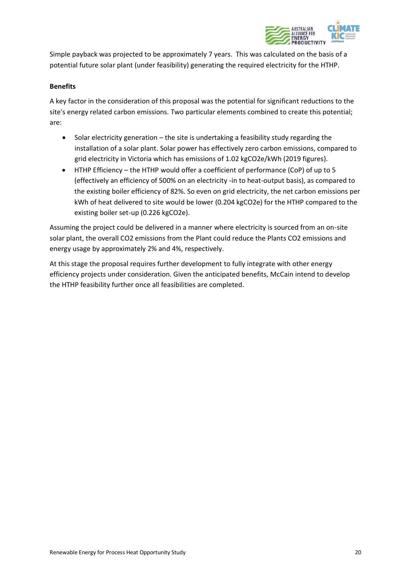

Simple payback was projected to be approximately 7 years. This was calculated on the basis of a potential future solar plant (under feasibility) generating the required electricity for the HTHP.

### **Benefits**

A key factor in the consideration of this proposal was the potential for significant reductions to the site's energy related carbon emissions. Two particular elements combined to create this potential; are:

- Solar electricity generation the site is undertaking a feasibility study regarding the installation of a solar plant. Solar power has effectively zero carbon emissions, compared to grid electricity in Victoria which has emissions of 1.02 kgCO2e/kWh (2019 figures).
- HTHP Efficiency the HTHP would offer a coefficient of performance (CoP) of up to 5 (effectively an efficiency of 500% on an electricity -in to heat-output basis), as compared to the existing boiler efficiency of 82%. So even on grid electricity, the net carbon emissions per kWh of heat delivered to site would be lower (0.204 kgCO2e) for the HTHP compared to the existing boiler set-up (0.226 kgCO2e).

Assuming the project could be delivered in a manner where electricity is sourced from an on-site solar plant, the overall CO2 emissions from the Plant could reduce the Plants CO2 emissions and energy usage by approximately 2% and 4%, respectively.

At this stage the proposal requires further development to fully integrate with other energy efficiency projects under consideration. Given the anticipated benefits, McCain intend to develop the HTHP feasibility further once all feasibilities are completed.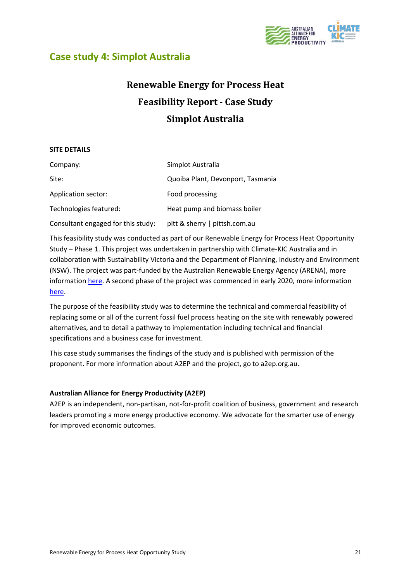

### <span id="page-23-0"></span>**Case study 4: Simplot Australia**

## **Renewable Energy for Process Heat Feasibility Report - Case Study Simplot Australia**

### **SITE DETAILS**

| Company:                           | Simplot Australia                 |
|------------------------------------|-----------------------------------|
| Site:                              | Quoiba Plant, Devonport, Tasmania |
| Application sector:                | Food processing                   |
| Technologies featured:             | Heat pump and biomass boiler      |
| Consultant engaged for this study: | pitt & sherry   pittsh.com.au     |

This feasibility study was conducted as part of our Renewable Energy for Process Heat Opportunity Study – Phase 1. This project was undertaken in partnership with Climate-KIC Australia and in collaboration with Sustainability Victoria and the Department of Planning, Industry and Environment (NSW). The project was part-funded by the Australian Renewable Energy Agency (ARENA), more informatio[n here.](https://arena.gov.au/projects/renewable-energy-for-process-heat-opportunity-study/) A second phase of the project was commenced in early 2020, more information [here.](https://arena.gov.au/projects/renewable-energy-for-process-heat-opportunity-study-phase-2/)

The purpose of the feasibility study was to determine the technical and commercial feasibility of replacing some or all of the current fossil fuel process heating on the site with renewably powered alternatives, and to detail a pathway to implementation including technical and financial specifications and a business case for investment.

This case study summarises the findings of the study and is published with permission of the proponent. For more information about A2EP and the project, go to a2ep.org.au.

### **Australian Alliance for Energy Productivity (A2EP)**

A2EP is an independent, non-partisan, not-for-profit coalition of business, government and research leaders promoting a more energy productive economy. We advocate for the smarter use of energy for improved economic outcomes.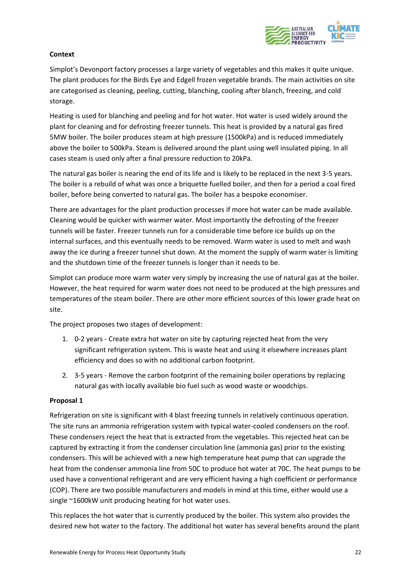

### **Context**

Simplot's Devonport factory processes a large variety of vegetables and this makes it quite unique. The plant produces for the Birds Eye and Edgell frozen vegetable brands. The main activities on site are categorised as cleaning, peeling, cutting, blanching, cooling after blanch, freezing, and cold storage.

Heating is used for blanching and peeling and for hot water. Hot water is used widely around the plant for cleaning and for defrosting freezer tunnels. This heat is provided by a natural gas fired 5MW boiler. The boiler produces steam at high pressure (1500kPa) and is reduced immediately above the boiler to 500kPa. Steam is delivered around the plant using well insulated piping. In all cases steam is used only after a final pressure reduction to 20kPa.

The natural gas boiler is nearing the end of its life and is likely to be replaced in the next 3-5 years. The boiler is a rebuild of what was once a briquette fuelled boiler, and then for a period a coal fired boiler, before being converted to natural gas. The boiler has a bespoke economiser.

There are advantages for the plant production processes if more hot water can be made available. Cleaning would be quicker with warmer water. Most importantly the defrosting of the freezer tunnels will be faster. Freezer tunnels run for a considerable time before ice builds up on the internal surfaces, and this eventually needs to be removed. Warm water is used to melt and wash away the ice during a freezer tunnel shut down. At the moment the supply of warm water is limiting and the shutdown time of the freezer tunnels is longer than it needs to be.

Simplot can produce more warm water very simply by increasing the use of natural gas at the boiler. However, the heat required for warm water does not need to be produced at the high pressures and temperatures of the steam boiler. There are other more efficient sources of this lower grade heat on site.

The project proposes two stages of development:

- 1. 0-2 years Create extra hot water on site by capturing rejected heat from the very significant refrigeration system. This is waste heat and using it elsewhere increases plant efficiency and does so with no additional carbon footprint.
- 2. 3-5 years Remove the carbon footprint of the remaining boiler operations by replacing natural gas with locally available bio fuel such as wood waste or woodchips.

### **Proposal 1**

Refrigeration on site is significant with 4 blast freezing tunnels in relatively continuous operation. The site runs an ammonia refrigeration system with typical water-cooled condensers on the roof. These condensers reject the heat that is extracted from the vegetables. This rejected heat can be captured by extracting it from the condenser circulation line (ammonia gas) prior to the existing condensers. This will be achieved with a new high temperature heat pump that can upgrade the heat from the condenser ammonia line from 50C to produce hot water at 70C. The heat pumps to be used have a conventional refrigerant and are very efficient having a high coefficient or performance (COP). There are two possible manufacturers and models in mind at this time, either would use a single ~1600kW unit producing heating for hot water uses.

This replaces the hot water that is currently produced by the boiler. This system also provides the desired new hot water to the factory. The additional hot water has several benefits around the plant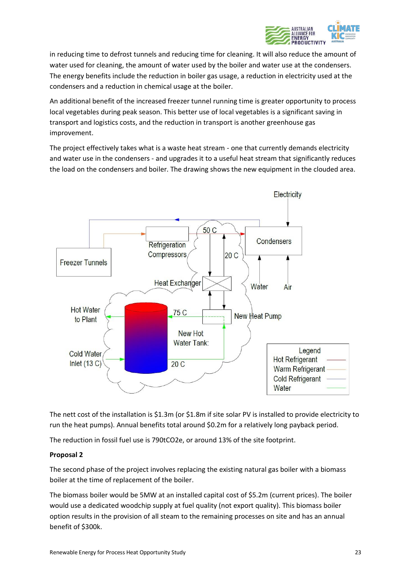

in reducing time to defrost tunnels and reducing time for cleaning. It will also reduce the amount of water used for cleaning, the amount of water used by the boiler and water use at the condensers. The energy benefits include the reduction in boiler gas usage, a reduction in electricity used at the condensers and a reduction in chemical usage at the boiler.

An additional benefit of the increased freezer tunnel running time is greater opportunity to process local vegetables during peak season. This better use of local vegetables is a significant saving in transport and logistics costs, and the reduction in transport is another greenhouse gas improvement.

The project effectively takes what is a waste heat stream - one that currently demands electricity and water use in the condensers - and upgrades it to a useful heat stream that significantly reduces the load on the condensers and boiler. The drawing shows the new equipment in the clouded area.



The nett cost of the installation is \$1.3m (or \$1.8m if site solar PV is installed to provide electricity to run the heat pumps). Annual benefits total around \$0.2m for a relatively long payback period.

The reduction in fossil fuel use is 790tCO2e, or around 13% of the site footprint.

### **Proposal 2**

The second phase of the project involves replacing the existing natural gas boiler with a biomass boiler at the time of replacement of the boiler.

The biomass boiler would be 5MW at an installed capital cost of \$5.2m (current prices). The boiler would use a dedicated woodchip supply at fuel quality (not export quality). This biomass boiler option results in the provision of all steam to the remaining processes on site and has an annual benefit of \$300k.